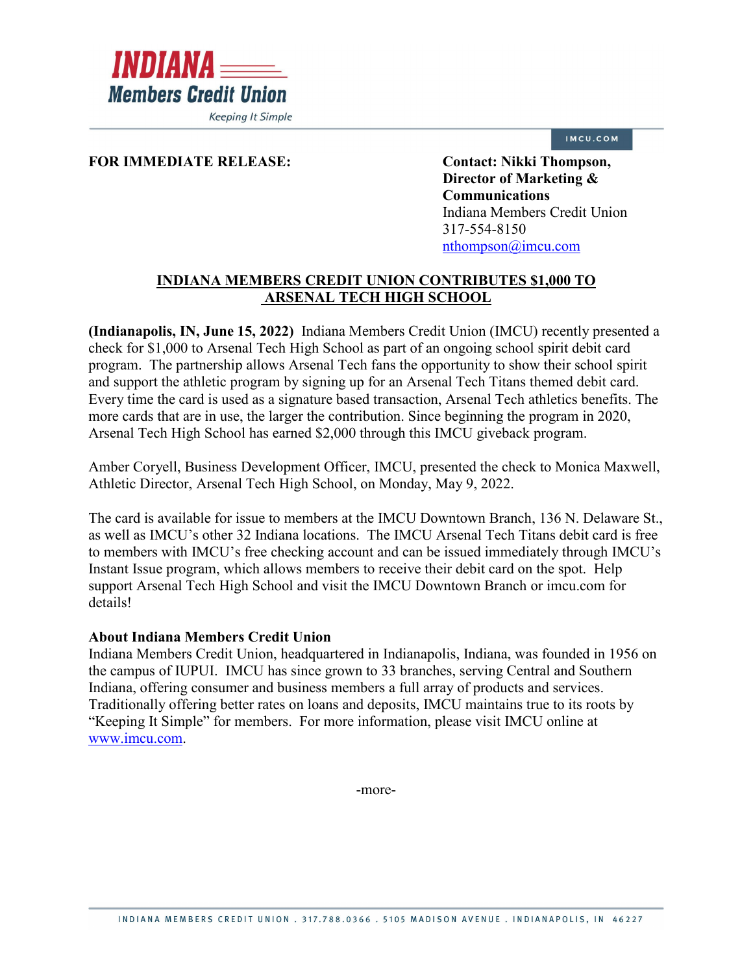

**Keeping It Simple** 

## IMCU.COM

## FOR IMMEDIATE RELEASE: Contact: Nikki Thompson,

**Director of Marketing & Communications** Indiana Members Credit Union 317-554-8150 [nthompson@imcu.com](mailto:nthompson@imcu.com) 

## **INDIANA MEMBERS CREDIT UNION CONTRIBUTES \$1,000 TO ARSENAL TECH HIGH SCHOOL**

**(Indianapolis, IN, June 15, 2022)** Indiana Members Credit Union (IMCU) recently presented a check for \$1,000 to Arsenal Tech High School as part of an ongoing school spirit debit card program. The partnership allows Arsenal Tech fans the opportunity to show their school spirit and support the athletic program by signing up for an Arsenal Tech Titans themed debit card. Every time the card is used as a signature based transaction, Arsenal Tech athletics benefits. The more cards that are in use, the larger the contribution. Since beginning the program in 2020, Arsenal Tech High School has earned \$2,000 through this IMCU giveback program.

Amber Coryell, Business Development Officer, IMCU, presented the check to Monica Maxwell, Athletic Director, Arsenal Tech High School, on Monday, May 9, 2022.

The card is available for issue to members at the IMCU Downtown Branch, 136 N. Delaware St., as well as IMCU's other 32 Indiana locations. The IMCU Arsenal Tech Titans debit card is free to members with IMCU's free checking account and can be issued immediately through IMCU's Instant Issue program, which allows members to receive their debit card on the spot. Help support Arsenal Tech High School and visit the IMCU Downtown Branch or imcu.com for details!

## **About Indiana Members Credit Union**

Indiana Members Credit Union, headquartered in Indianapolis, Indiana, was founded in 1956 on the campus of IUPUI. IMCU has since grown to 33 branches, serving Central and Southern Indiana, offering consumer and business members a full array of products and services. Traditionally offering better rates on loans and deposits, IMCU maintains true to its roots by "Keeping It Simple" for members. For more information, please visit IMCU online at [www.imcu.com.](http://www.imcu.com/)

-more-